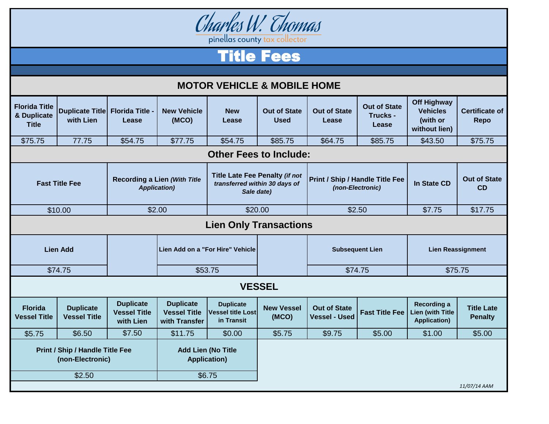

Title Fees

| <b>MOTOR VEHICLE &amp; MOBILE HOME</b>                     |                                         |                                                             |                                                          |                                                                               |                                    |                                                     |                                          |                                                                    |                                      |
|------------------------------------------------------------|-----------------------------------------|-------------------------------------------------------------|----------------------------------------------------------|-------------------------------------------------------------------------------|------------------------------------|-----------------------------------------------------|------------------------------------------|--------------------------------------------------------------------|--------------------------------------|
| <b>Florida Title</b><br>& Duplicate<br><b>Title</b>        | <b>Duplicate Title</b><br>with Lien     | <b>Florida Title</b><br>Lease                               | <b>New Vehicle</b><br>(MCO)                              | <b>New</b><br>Lease                                                           | <b>Out of State</b><br><b>Used</b> | <b>Out of State</b><br>Lease                        | <b>Out of State</b><br>Trucks -<br>Lease | <b>Off Highway</b><br><b>Vehicles</b><br>(with or<br>without lien) | <b>Certificate of</b><br><b>Repo</b> |
| \$75.75                                                    | 77.75                                   | \$54.75                                                     | \$77.75                                                  | \$54.75                                                                       | \$85.75                            | \$64.75                                             | \$85.75                                  | \$43.50                                                            | \$75.75                              |
| <b>Other Fees to Include:</b>                              |                                         |                                                             |                                                          |                                                                               |                                    |                                                     |                                          |                                                                    |                                      |
| <b>Fast Title Fee</b>                                      |                                         | <b>Recording a Lien (With Title</b><br><b>Application</b> ) |                                                          | Title Late Fee Penalty (if not<br>transferred within 30 days of<br>Sale date) |                                    | Print / Ship / Handle Title Fee<br>(non-Electronic) |                                          | In State CD                                                        | <b>Out of State</b><br>CD            |
| \$10.00                                                    |                                         | \$2.00                                                      |                                                          | \$20.00                                                                       |                                    | \$2.50                                              |                                          | \$7.75                                                             | \$17.75                              |
| <b>Lien Only Transactions</b>                              |                                         |                                                             |                                                          |                                                                               |                                    |                                                     |                                          |                                                                    |                                      |
| <b>Lien Add</b>                                            |                                         |                                                             | Lien Add on a "For Hire" Vehicle                         |                                                                               |                                    | <b>Subsequent Lien</b>                              |                                          | <b>Lien Reassignment</b>                                           |                                      |
| \$74.75                                                    |                                         |                                                             | \$53.75                                                  |                                                                               |                                    | \$74.75                                             |                                          | \$75.75                                                            |                                      |
| <b>VESSEL</b>                                              |                                         |                                                             |                                                          |                                                                               |                                    |                                                     |                                          |                                                                    |                                      |
| <b>Florida</b><br><b>Vessel Title</b>                      | <b>Duplicate</b><br><b>Vessel Title</b> | <b>Duplicate</b><br><b>Vessel Title</b><br>with Lien        | <b>Duplicate</b><br><b>Vessel Title</b><br>with Transfer | <b>Duplicate</b><br><b>Vessel title Lost</b><br>in Transit                    | <b>New Vessel</b><br>(MCO)         | <b>Out of State</b><br><b>Vessel - Used</b>         | <b>Fast Title Fee</b>                    | Recording a<br>ien (with Title<br><b>Application)</b>              | <b>Title Late</b><br><b>Penalty</b>  |
| \$5.75                                                     | \$6.50                                  | \$7.50                                                      | \$11.75                                                  | \$0.00                                                                        | \$5.75                             | \$9.75                                              | \$5.00                                   | \$1.00                                                             | \$5.00                               |
| <b>Print / Ship / Handle Title Fee</b><br>(non-Electronic) |                                         |                                                             | <b>Add Lien (No Title</b><br><b>Application)</b>         |                                                                               |                                    |                                                     |                                          |                                                                    |                                      |
|                                                            | \$2.50                                  |                                                             |                                                          | \$6.75                                                                        |                                    |                                                     |                                          |                                                                    |                                      |
|                                                            |                                         |                                                             |                                                          |                                                                               |                                    |                                                     |                                          |                                                                    | 11/07/14 AAM                         |